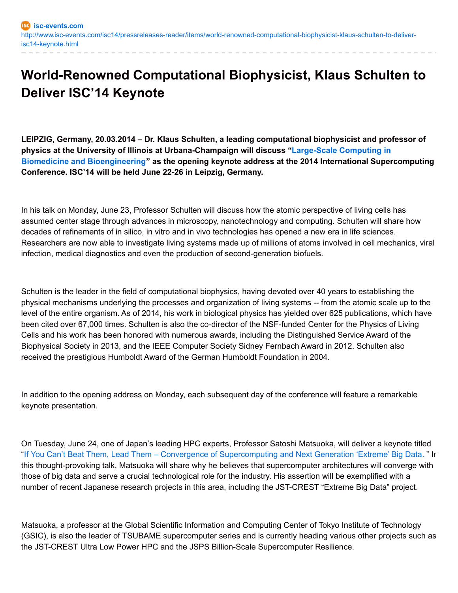## **World-Renowned Computational Biophysicist, Klaus Schulten to Deliver ISC'14 Keynote**

**LEIPZIG, Germany, 20.03.2014 – Dr. Klaus Schulten, a leading computational biophysicist and professor of physics at the University of Illinois at [Urbana-Champaign](http://www.isc-events.com/isc14/conference_keynote.html) will discuss "Large-Scale Computing in Biomedicine and Bioengineering" as the opening keynote address at the 2014 International Supercomputing Conference. ISC'14 will be held June 22-26 in Leipzig, Germany.**

In his talk on Monday, June 23, Professor Schulten will discuss how the atomic perspective of living cells has assumed center stage through advances in microscopy, nanotechnology and computing. Schulten will share how decades of refinements of in silico, in vitro and in vivo technologies has opened a new era in life sciences. Researchers are now able to investigate living systems made up of millions of atoms involved in cell mechanics, viral infection, medical diagnostics and even the production of second-generation biofuels.

Schulten is the leader in the field of computational biophysics, having devoted over 40 years to establishing the physical mechanisms underlying the processes and organization of living systems -- from the atomic scale up to the level of the entire organism. As of 2014, his work in biological physics has yielded over 625 publications, which have been cited over 67,000 times. Schulten is also the co-director of the NSF-funded Center for the Physics of Living Cells and his work has been honored with numerous awards, including the Distinguished Service Award of the Biophysical Society in 2013, and the IEEE Computer Society Sidney Fernbach Award in 2012. Schulten also received the prestigious Humboldt Award of the German Humboldt Foundation in 2004.

In addition to the opening address on Monday, each subsequent day of the conference will feature a remarkable keynote presentation.

On Tuesday, June 24, one of Japan's leading HPC experts, Professor Satoshi Matsuoka, will deliver a keynote titled "If You Can't Beat Them, Lead Them – Convergence of [Supercomputing](http://www.isc-events.com/isc14/tuesday_keynote.html) and Next Generation 'Extreme' Big Data. " Ir this thought-provoking talk, Matsuoka will share why he believes that supercomputer architectures will converge with those of big data and serve a crucial technological role for the industry. His assertion will be exemplified with a number of recent Japanese research projects in this area, including the JST-CREST "Extreme Big Data" project.

Matsuoka, a professor at the Global Scientific Information and Computing Center of Tokyo Institute of Technology (GSIC), is also the leader of TSUBAME supercomputer series and is currently heading various other projects such as the JST-CREST Ultra Low Power HPC and the JSPS Billion-Scale Supercomputer Resilience.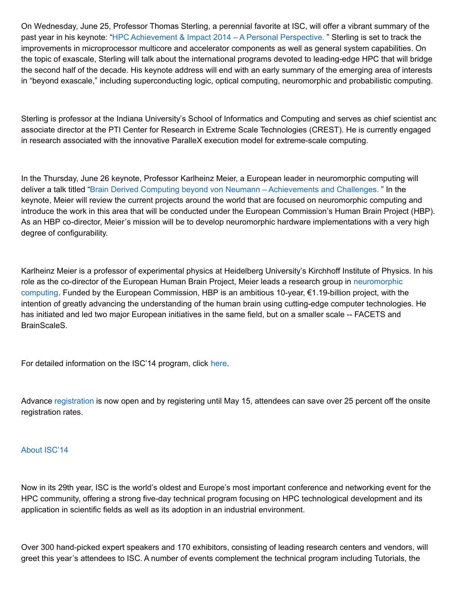On Wednesday, June 25, Professor Thomas Sterling, a perennial favorite at ISC, will offer a vibrant summary of the past year in his keynote: "HPC [Achievement](http://www.isc-events.com/isc14/wednesday-keynote.html) & Impact 2014 – A Personal Perspective. " Sterling is set to track the improvements in microprocessor multicore and accelerator components as well as general system capabilities. On the topic of exascale, Sterling will talk about the international programs devoted to leading-edge HPC that will bridge the second half of the decade. His keynote address will end with an early summary of the emerging area of interests in "beyond exascale," including superconducting logic, optical computing, neuromorphic and probabilistic computing.

Sterling is professor at the Indiana University's School of Informatics and Computing and serves as chief scientist and associate director at the PTI Center for Research in Extreme Scale Technologies (CREST). He is currently engaged in research associated with the innovative ParalleX execution model for extreme-scale computing.

In the Thursday, June 26 keynote, Professor Karlheinz Meier, a European leader in neuromorphic computing will deliver a talk titled "Brain Derived Computing beyond von Neumann – [Achievements](http://www.isc-events.com/isc14/thursday_keynote.html) and Challenges. " In the keynote, Meier will review the current projects around the world that are focused on neuromorphic computing and introduce the work in this area that will be conducted under the European Commission's Human Brain Project (HBP). As an HBP co-director, Meier's mission will be to develop neuromorphic hardware implementations with a very high degree of configurability.

Karlheinz Meier is a professor of experimental physics at Heidelberg University's Kirchhoff Institute of Physics. In his role as the co-director of the European Human Brain Project, Meier leads a research group in [neuromorphic](https://www.humanbrainproject.eu/neuromorphic-computing-platform1) computing. Funded by the European Commission, HBP is an ambitious 10-year, €1.19-billion project, with the intention of greatly advancing the understanding of the human brain using cutting-edge computer technologies. He has initiated and led two major European initiatives in the same field, but on a smaller scale -- FACETS and BrainScaleS.

For detailed information on the ISC'14 program, click [here](http://www.isc-events.com/isc14_ap/).

Advance [registration](http://www.isc-events.com/isc14/online_registration.html) is now open and by registering until May 15, attendees can save over 25 percent off the onsite registration rates.

## About [ISC'14](http://www.isc-events.com/isc14/)

Now in its 29th year, ISC is the world's oldest and Europe's most important conference and networking event for the HPC community, offering a strong five-day technical program focusing on HPC technological development and its application in scientific fields as well as its adoption in an industrial environment.

Over 300 hand-picked expert speakers and 170 exhibitors, consisting of leading research centers and vendors, will greet this year's attendees to ISC. A number of events complement the technical program including Tutorials, the